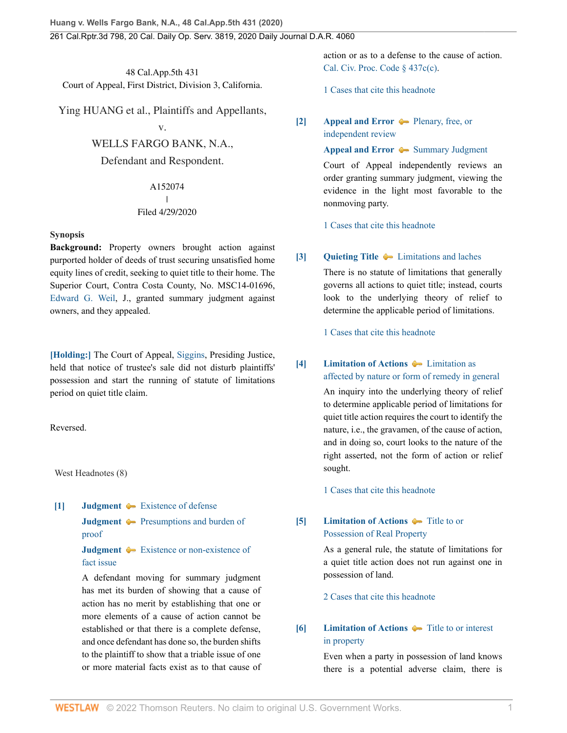48 Cal.App.5th 431 Court of Appeal, First District, Division 3, California.

Ying HUANG et al., Plaintiffs and Appellants,

v.

## WELLS FARGO BANK, N.A.,

Defendant and Respondent.

#### A152074  $\overline{\phantom{a}}$ | Filed 4/29/2020

#### **Synopsis**

**Background:** Property owners brought action against purported holder of deeds of trust securing unsatisfied home equity lines of credit, seeking to quiet title to their home. The Superior Court, Contra Costa County, No. MSC14-01696, [Edward G. Weil,](http://www.westlaw.com/Link/Document/FullText?findType=h&pubNum=176284&cite=0183245001&originatingDoc=I329b1c808a7e11eaabeef54b36ec0a79&refType=RQ&originationContext=document&vr=3.0&rs=cblt1.0&transitionType=DocumentItem&contextData=(sc.History*oc.DocLink)) J., granted summary judgment against owners, and they appealed.

**[\[Holding:\]](#page-1-0)** The Court of Appeal, [Siggins](http://www.westlaw.com/Link/Document/FullText?findType=h&pubNum=176284&cite=0167676901&originatingDoc=I329b1c808a7e11eaabeef54b36ec0a79&refType=RQ&originationContext=document&vr=3.0&rs=cblt1.0&transitionType=DocumentItem&contextData=(sc.History*oc.DocLink)), Presiding Justice, held that notice of trustee's sale did not disturb plaintiffs' possession and start the running of statute of limitations period on quiet title claim.

Reversed.

West Headnotes (8)

<span id="page-0-0"></span>**[\[1\]](#page-2-0) [Judgment](http://www.westlaw.com/Browse/Home/KeyNumber/228/View.html?docGuid=I329b1c808a7e11eaabeef54b36ec0a79&originationContext=document&vr=3.0&rs=cblt1.0&transitionType=DocumentItem&contextData=(sc.History*oc.DocLink))**  $\blacktriangleright$  [Existence of defense](http://www.westlaw.com/Browse/Home/KeyNumber/228k181(6)/View.html?docGuid=I329b1c808a7e11eaabeef54b36ec0a79&originationContext=document&vr=3.0&rs=cblt1.0&transitionType=DocumentItem&contextData=(sc.History*oc.DocLink))

**[Judgment](http://www.westlaw.com/Browse/Home/KeyNumber/228/View.html?docGuid=I329b1c808a7e11eaabeef54b36ec0a79&originationContext=document&vr=3.0&rs=cblt1.0&transitionType=DocumentItem&contextData=(sc.History*oc.DocLink))**  $\blacktriangleright$  [Presumptions and burden of](http://www.westlaw.com/Browse/Home/KeyNumber/228k185(2)/View.html?docGuid=I329b1c808a7e11eaabeef54b36ec0a79&originationContext=document&vr=3.0&rs=cblt1.0&transitionType=DocumentItem&contextData=(sc.History*oc.DocLink)) [proof](http://www.westlaw.com/Browse/Home/KeyNumber/228k185(2)/View.html?docGuid=I329b1c808a7e11eaabeef54b36ec0a79&originationContext=document&vr=3.0&rs=cblt1.0&transitionType=DocumentItem&contextData=(sc.History*oc.DocLink))

**[Judgment](http://www.westlaw.com/Browse/Home/KeyNumber/228/View.html?docGuid=I329b1c808a7e11eaabeef54b36ec0a79&originationContext=document&vr=3.0&rs=cblt1.0&transitionType=DocumentItem&contextData=(sc.History*oc.DocLink))**  $\bullet$  [Existence or non-existence of](http://www.westlaw.com/Browse/Home/KeyNumber/228k185(6)/View.html?docGuid=I329b1c808a7e11eaabeef54b36ec0a79&originationContext=document&vr=3.0&rs=cblt1.0&transitionType=DocumentItem&contextData=(sc.History*oc.DocLink)) [fact issue](http://www.westlaw.com/Browse/Home/KeyNumber/228k185(6)/View.html?docGuid=I329b1c808a7e11eaabeef54b36ec0a79&originationContext=document&vr=3.0&rs=cblt1.0&transitionType=DocumentItem&contextData=(sc.History*oc.DocLink))

A defendant moving for summary judgment has met its burden of showing that a cause of action has no merit by establishing that one or more elements of a cause of action cannot be established or that there is a complete defense, and once defendant has done so, the burden shifts to the plaintiff to show that a triable issue of one or more material facts exist as to that cause of action or as to a defense to the cause of action. [Cal. Civ. Proc. Code § 437c\(c\)](http://www.westlaw.com/Link/Document/FullText?findType=L&pubNum=1000201&cite=CACPS437C&originatingDoc=I329b1c808a7e11eaabeef54b36ec0a79&refType=SP&originationContext=document&vr=3.0&rs=cblt1.0&transitionType=DocumentItem&contextData=(sc.History*oc.DocLink)#co_pp_4b24000003ba5).

[1 Cases that cite this headnote](http://www.westlaw.com/Link/RelatedInformation/DocHeadnoteLink?docGuid=I329b1c808a7e11eaabeef54b36ec0a79&headnoteId=205086172600120220412095850&originationContext=document&vr=3.0&rs=cblt1.0&transitionType=CitingReferences&contextData=(sc.History*oc.DocLink))

<span id="page-0-1"></span>**[\[2\]](#page-2-1) [Appeal and Error](http://www.westlaw.com/Browse/Home/KeyNumber/30/View.html?docGuid=I329b1c808a7e11eaabeef54b36ec0a79&originationContext=document&vr=3.0&rs=cblt1.0&transitionType=DocumentItem&contextData=(sc.History*oc.DocLink))**  $\blacklozenge$  **[Plenary, free, or](http://www.westlaw.com/Browse/Home/KeyNumber/30k3553/View.html?docGuid=I329b1c808a7e11eaabeef54b36ec0a79&originationContext=document&vr=3.0&rs=cblt1.0&transitionType=DocumentItem&contextData=(sc.History*oc.DocLink))** [independent review](http://www.westlaw.com/Browse/Home/KeyNumber/30k3553/View.html?docGuid=I329b1c808a7e11eaabeef54b36ec0a79&originationContext=document&vr=3.0&rs=cblt1.0&transitionType=DocumentItem&contextData=(sc.History*oc.DocLink))

#### **[Appeal and Error](http://www.westlaw.com/Browse/Home/KeyNumber/30/View.html?docGuid=I329b1c808a7e11eaabeef54b36ec0a79&originationContext=document&vr=3.0&rs=cblt1.0&transitionType=DocumentItem&contextData=(sc.History*oc.DocLink))**  $\rightarrow$  [Summary Judgment](http://www.westlaw.com/Browse/Home/KeyNumber/30k3950/View.html?docGuid=I329b1c808a7e11eaabeef54b36ec0a79&originationContext=document&vr=3.0&rs=cblt1.0&transitionType=DocumentItem&contextData=(sc.History*oc.DocLink))

Court of Appeal independently reviews an order granting summary judgment, viewing the evidence in the light most favorable to the nonmoving party.

[1 Cases that cite this headnote](http://www.westlaw.com/Link/RelatedInformation/DocHeadnoteLink?docGuid=I329b1c808a7e11eaabeef54b36ec0a79&headnoteId=205086172600320220412095850&originationContext=document&vr=3.0&rs=cblt1.0&transitionType=CitingReferences&contextData=(sc.History*oc.DocLink))

## <span id="page-0-2"></span>**[\[3\]](#page-3-0) [Quieting Title](http://www.westlaw.com/Browse/Home/KeyNumber/318/View.html?docGuid=I329b1c808a7e11eaabeef54b36ec0a79&originationContext=document&vr=3.0&rs=cblt1.0&transitionType=DocumentItem&contextData=(sc.History*oc.DocLink))**  $\blacklozenge$  [Limitations and laches](http://www.westlaw.com/Browse/Home/KeyNumber/318k29/View.html?docGuid=I329b1c808a7e11eaabeef54b36ec0a79&originationContext=document&vr=3.0&rs=cblt1.0&transitionType=DocumentItem&contextData=(sc.History*oc.DocLink))

There is no statute of limitations that generally governs all actions to quiet title; instead, courts look to the underlying theory of relief to determine the applicable period of limitations.

[1 Cases that cite this headnote](http://www.westlaw.com/Link/RelatedInformation/DocHeadnoteLink?docGuid=I329b1c808a7e11eaabeef54b36ec0a79&headnoteId=205086172600420220412095850&originationContext=document&vr=3.0&rs=cblt1.0&transitionType=CitingReferences&contextData=(sc.History*oc.DocLink))

## <span id="page-0-3"></span>**[\[4\]](#page-3-1) [Limitation of Actions](http://www.westlaw.com/Browse/Home/KeyNumber/241/View.html?docGuid=I329b1c808a7e11eaabeef54b36ec0a79&originationContext=document&vr=3.0&rs=cblt1.0&transitionType=DocumentItem&contextData=(sc.History*oc.DocLink))**  $\blacktriangleright$  [Limitation as](http://www.westlaw.com/Browse/Home/KeyNumber/241k16/View.html?docGuid=I329b1c808a7e11eaabeef54b36ec0a79&originationContext=document&vr=3.0&rs=cblt1.0&transitionType=DocumentItem&contextData=(sc.History*oc.DocLink)) [affected by nature or form of remedy in general](http://www.westlaw.com/Browse/Home/KeyNumber/241k16/View.html?docGuid=I329b1c808a7e11eaabeef54b36ec0a79&originationContext=document&vr=3.0&rs=cblt1.0&transitionType=DocumentItem&contextData=(sc.History*oc.DocLink))

An inquiry into the underlying theory of relief to determine applicable period of limitations for quiet title action requires the court to identify the nature, i.e., the gravamen, of the cause of action, and in doing so, court looks to the nature of the right asserted, not the form of action or relief sought.

[1 Cases that cite this headnote](http://www.westlaw.com/Link/RelatedInformation/DocHeadnoteLink?docGuid=I329b1c808a7e11eaabeef54b36ec0a79&headnoteId=205086172600520220412095850&originationContext=document&vr=3.0&rs=cblt1.0&transitionType=CitingReferences&contextData=(sc.History*oc.DocLink))

# <span id="page-0-4"></span>**[\[5\]](#page-3-2) [Limitation of Actions](http://www.westlaw.com/Browse/Home/KeyNumber/241/View.html?docGuid=I329b1c808a7e11eaabeef54b36ec0a79&originationContext=document&vr=3.0&rs=cblt1.0&transitionType=DocumentItem&contextData=(sc.History*oc.DocLink))**  $\bullet$  [Title to or](http://www.westlaw.com/Browse/Home/KeyNumber/241k44/View.html?docGuid=I329b1c808a7e11eaabeef54b36ec0a79&originationContext=document&vr=3.0&rs=cblt1.0&transitionType=DocumentItem&contextData=(sc.History*oc.DocLink)) [Possession of Real Property](http://www.westlaw.com/Browse/Home/KeyNumber/241k44/View.html?docGuid=I329b1c808a7e11eaabeef54b36ec0a79&originationContext=document&vr=3.0&rs=cblt1.0&transitionType=DocumentItem&contextData=(sc.History*oc.DocLink))

As a general rule, the statute of limitations for a quiet title action does not run against one in possession of land.

[2 Cases that cite this headnote](http://www.westlaw.com/Link/RelatedInformation/DocHeadnoteLink?docGuid=I329b1c808a7e11eaabeef54b36ec0a79&headnoteId=205086172600620220412095850&originationContext=document&vr=3.0&rs=cblt1.0&transitionType=CitingReferences&contextData=(sc.History*oc.DocLink))

# <span id="page-0-5"></span>**[\[6\]](#page-3-3) [Limitation of Actions](http://www.westlaw.com/Browse/Home/KeyNumber/241/View.html?docGuid=I329b1c808a7e11eaabeef54b36ec0a79&originationContext=document&vr=3.0&rs=cblt1.0&transitionType=DocumentItem&contextData=(sc.History*oc.DocLink))**  $\bullet$  [Title to or interest](http://www.westlaw.com/Browse/Home/KeyNumber/241k95(8)/View.html?docGuid=I329b1c808a7e11eaabeef54b36ec0a79&originationContext=document&vr=3.0&rs=cblt1.0&transitionType=DocumentItem&contextData=(sc.History*oc.DocLink)) [in property](http://www.westlaw.com/Browse/Home/KeyNumber/241k95(8)/View.html?docGuid=I329b1c808a7e11eaabeef54b36ec0a79&originationContext=document&vr=3.0&rs=cblt1.0&transitionType=DocumentItem&contextData=(sc.History*oc.DocLink))

Even when a party in possession of land knows there is a potential adverse claim, there is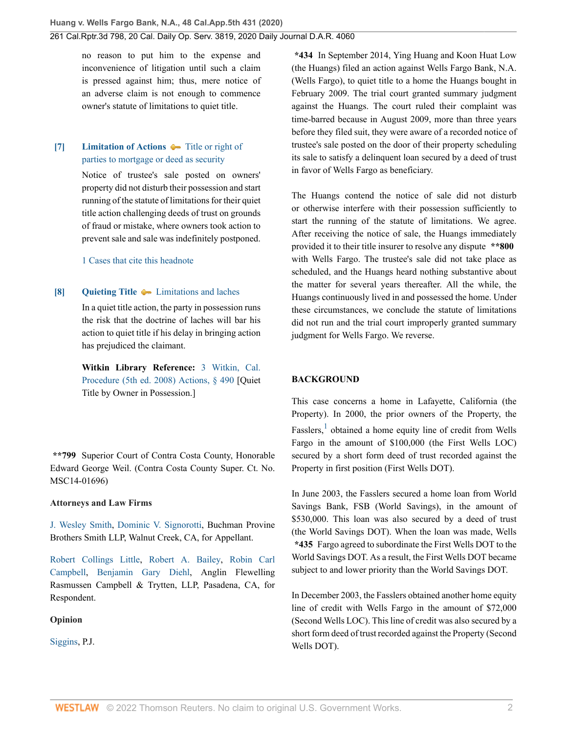no reason to put him to the expense and inconvenience of litigation until such a claim is pressed against him; thus, mere notice of an adverse claim is not enough to commence owner's statute of limitations to quiet title.

# <span id="page-1-0"></span>**[\[7\]](#page-4-0) [Limitation of Actions](http://www.westlaw.com/Browse/Home/KeyNumber/241/View.html?docGuid=I329b1c808a7e11eaabeef54b36ec0a79&originationContext=document&vr=3.0&rs=cblt1.0&transitionType=DocumentItem&contextData=(sc.History*oc.DocLink))**  $\bullet$  [Title or right of](http://www.westlaw.com/Browse/Home/KeyNumber/241k44(5)/View.html?docGuid=I329b1c808a7e11eaabeef54b36ec0a79&originationContext=document&vr=3.0&rs=cblt1.0&transitionType=DocumentItem&contextData=(sc.History*oc.DocLink)) [parties to mortgage or deed as security](http://www.westlaw.com/Browse/Home/KeyNumber/241k44(5)/View.html?docGuid=I329b1c808a7e11eaabeef54b36ec0a79&originationContext=document&vr=3.0&rs=cblt1.0&transitionType=DocumentItem&contextData=(sc.History*oc.DocLink))

Notice of trustee's sale posted on owners' property did not disturb their possession and start running of the statute of limitations for their quiet title action challenging deeds of trust on grounds of fraud or mistake, where owners took action to prevent sale and sale was indefinitely postponed.

[1 Cases that cite this headnote](http://www.westlaw.com/Link/RelatedInformation/DocHeadnoteLink?docGuid=I329b1c808a7e11eaabeef54b36ec0a79&headnoteId=205086172600820220412095850&originationContext=document&vr=3.0&rs=cblt1.0&transitionType=CitingReferences&contextData=(sc.History*oc.DocLink))

#### <span id="page-1-1"></span>**[\[8\]](#page-5-0) [Quieting Title](http://www.westlaw.com/Browse/Home/KeyNumber/318/View.html?docGuid=I329b1c808a7e11eaabeef54b36ec0a79&originationContext=document&vr=3.0&rs=cblt1.0&transitionType=DocumentItem&contextData=(sc.History*oc.DocLink))**  $\blacklozenge$  [Limitations and laches](http://www.westlaw.com/Browse/Home/KeyNumber/318k29/View.html?docGuid=I329b1c808a7e11eaabeef54b36ec0a79&originationContext=document&vr=3.0&rs=cblt1.0&transitionType=DocumentItem&contextData=(sc.History*oc.DocLink))

In a quiet title action, the party in possession runs the risk that the doctrine of laches will bar his action to quiet title if his delay in bringing action has prejudiced the claimant.

**Witkin Library Reference:** [3 Witkin, Cal.](http://www.westlaw.com/Link/Document/FullText?findType=Y&serNum=0289837080&pubNum=0155565&originatingDoc=I329b1c808a7e11eaabeef54b36ec0a79&refType=TS&originationContext=document&vr=3.0&rs=cblt1.0&transitionType=DocumentItem&contextData=(sc.History*oc.DocLink)) [Procedure \(5th ed. 2008\) Actions, § 490](http://www.westlaw.com/Link/Document/FullText?findType=Y&serNum=0289837080&pubNum=0155565&originatingDoc=I329b1c808a7e11eaabeef54b36ec0a79&refType=TS&originationContext=document&vr=3.0&rs=cblt1.0&transitionType=DocumentItem&contextData=(sc.History*oc.DocLink)) [Quiet Title by Owner in Possession.]

**\*\*799** Superior Court of Contra Costa County, Honorable Edward George Weil. (Contra Costa County Super. Ct. No. MSC14-01696)

## **Attorneys and Law Firms**

[J. Wesley Smith,](http://www.westlaw.com/Link/Document/FullText?findType=h&pubNum=176284&cite=0334013801&originatingDoc=I329b1c808a7e11eaabeef54b36ec0a79&refType=RQ&originationContext=document&vr=3.0&rs=cblt1.0&transitionType=DocumentItem&contextData=(sc.History*oc.DocLink)) [Dominic V. Signorotti,](http://www.westlaw.com/Link/Document/FullText?findType=h&pubNum=176284&cite=0433038701&originatingDoc=I329b1c808a7e11eaabeef54b36ec0a79&refType=RQ&originationContext=document&vr=3.0&rs=cblt1.0&transitionType=DocumentItem&contextData=(sc.History*oc.DocLink)) Buchman Provine Brothers Smith LLP, Walnut Creek, CA, for Appellant.

[Robert Collings Little](http://www.westlaw.com/Link/Document/FullText?findType=h&pubNum=176284&cite=0275405201&originatingDoc=I329b1c808a7e11eaabeef54b36ec0a79&refType=RQ&originationContext=document&vr=3.0&rs=cblt1.0&transitionType=DocumentItem&contextData=(sc.History*oc.DocLink)), [Robert A. Bailey](http://www.westlaw.com/Link/Document/FullText?findType=h&pubNum=176284&cite=0331072001&originatingDoc=I329b1c808a7e11eaabeef54b36ec0a79&refType=RQ&originationContext=document&vr=3.0&rs=cblt1.0&transitionType=DocumentItem&contextData=(sc.History*oc.DocLink)), [Robin Carl](http://www.westlaw.com/Link/Document/FullText?findType=h&pubNum=176284&cite=0136416401&originatingDoc=I329b1c808a7e11eaabeef54b36ec0a79&refType=RQ&originationContext=document&vr=3.0&rs=cblt1.0&transitionType=DocumentItem&contextData=(sc.History*oc.DocLink)) [Campbell,](http://www.westlaw.com/Link/Document/FullText?findType=h&pubNum=176284&cite=0136416401&originatingDoc=I329b1c808a7e11eaabeef54b36ec0a79&refType=RQ&originationContext=document&vr=3.0&rs=cblt1.0&transitionType=DocumentItem&contextData=(sc.History*oc.DocLink)) [Benjamin Gary Diehl,](http://www.westlaw.com/Link/Document/FullText?findType=h&pubNum=176284&cite=0460832101&originatingDoc=I329b1c808a7e11eaabeef54b36ec0a79&refType=RQ&originationContext=document&vr=3.0&rs=cblt1.0&transitionType=DocumentItem&contextData=(sc.History*oc.DocLink)) Anglin Flewelling Rasmussen Campbell & Trytten, LLP, Pasadena, CA, for Respondent.

## **Opinion**

[Siggins,](http://www.westlaw.com/Link/Document/FullText?findType=h&pubNum=176284&cite=0167676901&originatingDoc=I329b1c808a7e11eaabeef54b36ec0a79&refType=RQ&originationContext=document&vr=3.0&rs=cblt1.0&transitionType=DocumentItem&contextData=(sc.History*oc.DocLink)) P.J.

**\*434** In September 2014, Ying Huang and Koon Huat Low (the Huangs) filed an action against Wells Fargo Bank, N.A. (Wells Fargo), to quiet title to a home the Huangs bought in February 2009. The trial court granted summary judgment against the Huangs. The court ruled their complaint was time-barred because in August 2009, more than three years before they filed suit, they were aware of a recorded notice of trustee's sale posted on the door of their property scheduling its sale to satisfy a delinquent loan secured by a deed of trust in favor of Wells Fargo as beneficiary.

The Huangs contend the notice of sale did not disturb or otherwise interfere with their possession sufficiently to start the running of the statute of limitations. We agree. After receiving the notice of sale, the Huangs immediately provided it to their title insurer to resolve any dispute **\*\*800** with Wells Fargo. The trustee's sale did not take place as scheduled, and the Huangs heard nothing substantive about the matter for several years thereafter. All the while, the Huangs continuously lived in and possessed the home. Under these circumstances, we conclude the statute of limitations did not run and the trial court improperly granted summary judgment for Wells Fargo. We reverse.

## **BACKGROUND**

<span id="page-1-2"></span>This case concerns a home in Lafayette, California (the Property). In 2000, the prior owners of the Property, the Fasslers,<sup>[1](#page-5-1)</sup> obtained a home equity line of credit from Wells Fargo in the amount of \$100,000 (the First Wells LOC) secured by a short form deed of trust recorded against the Property in first position (First Wells DOT).

In June 2003, the Fasslers secured a home loan from World Savings Bank, FSB (World Savings), in the amount of \$530,000. This loan was also secured by a deed of trust (the World Savings DOT). When the loan was made, Wells **\*435** Fargo agreed to subordinate the First Wells DOT to the World Savings DOT. As a result, the First Wells DOT became subject to and lower priority than the World Savings DOT.

In December 2003, the Fasslers obtained another home equity line of credit with Wells Fargo in the amount of \$72,000 (Second Wells LOC). This line of credit was also secured by a short form deed of trust recorded against the Property (Second Wells DOT).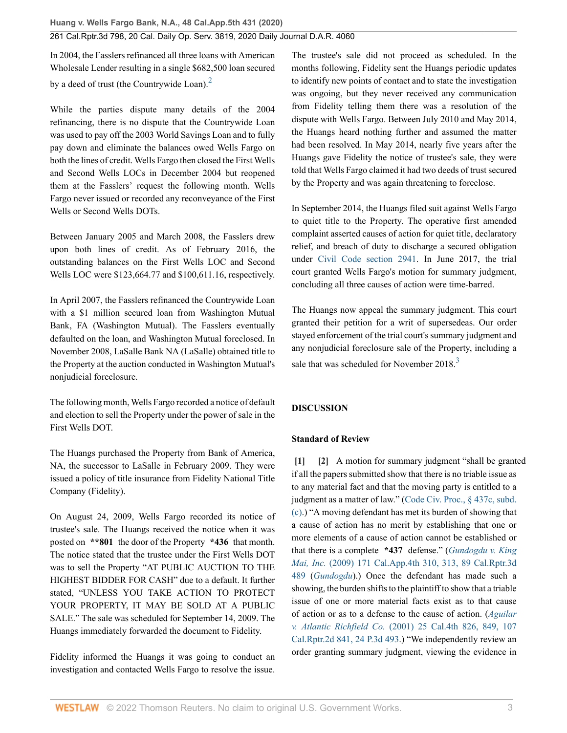In 2004, the Fasslers refinanced all three loans with American Wholesale Lender resulting in a single \$682,500 loan secured by a deed of trust (the Countrywide Loan). $<sup>2</sup>$  $<sup>2</sup>$  $<sup>2</sup>$ </sup>

While the parties dispute many details of the 2004 refinancing, there is no dispute that the Countrywide Loan was used to pay off the 2003 World Savings Loan and to fully pay down and eliminate the balances owed Wells Fargo on both the lines of credit. Wells Fargo then closed the First Wells and Second Wells LOCs in December 2004 but reopened them at the Fasslers' request the following month. Wells Fargo never issued or recorded any reconveyance of the First Wells or Second Wells DOTs.

Between January 2005 and March 2008, the Fasslers drew upon both lines of credit. As of February 2016, the outstanding balances on the First Wells LOC and Second Wells LOC were \$123,664.77 and \$100,611.16, respectively.

In April 2007, the Fasslers refinanced the Countrywide Loan with a \$1 million secured loan from Washington Mutual Bank, FA (Washington Mutual). The Fasslers eventually defaulted on the loan, and Washington Mutual foreclosed. In November 2008, LaSalle Bank NA (LaSalle) obtained title to the Property at the auction conducted in Washington Mutual's nonjudicial foreclosure.

The following month, Wells Fargo recorded a notice of default and election to sell the Property under the power of sale in the First Wells DOT.

The Huangs purchased the Property from Bank of America, NA, the successor to LaSalle in February 2009. They were issued a policy of title insurance from Fidelity National Title Company (Fidelity).

On August 24, 2009, Wells Fargo recorded its notice of trustee's sale. The Huangs received the notice when it was posted on **\*\*801** the door of the Property **\*436** that month. The notice stated that the trustee under the First Wells DOT was to sell the Property "AT PUBLIC AUCTION TO THE HIGHEST BIDDER FOR CASH" due to a default. It further stated, "UNLESS YOU TAKE ACTION TO PROTECT YOUR PROPERTY, IT MAY BE SOLD AT A PUBLIC SALE." The sale was scheduled for September 14, 2009. The Huangs immediately forwarded the document to Fidelity.

Fidelity informed the Huangs it was going to conduct an investigation and contacted Wells Fargo to resolve the issue. <span id="page-2-2"></span>The trustee's sale did not proceed as scheduled. In the months following, Fidelity sent the Huangs periodic updates to identify new points of contact and to state the investigation was ongoing, but they never received any communication from Fidelity telling them there was a resolution of the dispute with Wells Fargo. Between July 2010 and May 2014, the Huangs heard nothing further and assumed the matter had been resolved. In May 2014, nearly five years after the Huangs gave Fidelity the notice of trustee's sale, they were told that Wells Fargo claimed it had two deeds of trust secured by the Property and was again threatening to foreclose.

In September 2014, the Huangs filed suit against Wells Fargo to quiet title to the Property. The operative first amended complaint asserted causes of action for quiet title, declaratory relief, and breach of duty to discharge a secured obligation under [Civil Code section 2941.](http://www.westlaw.com/Link/Document/FullText?findType=L&pubNum=1000200&cite=CACIS2941&originatingDoc=I329b1c808a7e11eaabeef54b36ec0a79&refType=LQ&originationContext=document&vr=3.0&rs=cblt1.0&transitionType=DocumentItem&contextData=(sc.History*oc.DocLink)) In June 2017, the trial court granted Wells Fargo's motion for summary judgment, concluding all three causes of action were time-barred.

<span id="page-2-3"></span>The Huangs now appeal the summary judgment. This court granted their petition for a writ of supersedeas. Our order stayed enforcement of the trial court's summary judgment and any nonjudicial foreclosure sale of the Property, including a sale that was scheduled for November  $2018<sup>3</sup>$  $2018<sup>3</sup>$  $2018<sup>3</sup>$ 

# **DISCUSSION**

## **Standard of Review**

<span id="page-2-1"></span><span id="page-2-0"></span>**[\[1\]](#page-0-0) [\[2\]](#page-0-1)** A motion for summary judgment "shall be granted if all the papers submitted show that there is no triable issue as to any material fact and that the moving party is entitled to a judgment as a matter of law." [\(Code Civ. Proc., § 437c, subd.](http://www.westlaw.com/Link/Document/FullText?findType=L&pubNum=1000201&cite=CACPS437C&originatingDoc=I329b1c808a7e11eaabeef54b36ec0a79&refType=SP&originationContext=document&vr=3.0&rs=cblt1.0&transitionType=DocumentItem&contextData=(sc.History*oc.DocLink)#co_pp_4b24000003ba5) [\(c\)](http://www.westlaw.com/Link/Document/FullText?findType=L&pubNum=1000201&cite=CACPS437C&originatingDoc=I329b1c808a7e11eaabeef54b36ec0a79&refType=SP&originationContext=document&vr=3.0&rs=cblt1.0&transitionType=DocumentItem&contextData=(sc.History*oc.DocLink)#co_pp_4b24000003ba5).) "A moving defendant has met its burden of showing that a cause of action has no merit by establishing that one or more elements of a cause of action cannot be established or that there is a complete **\*437** defense." (*[Gundogdu v. King](http://www.westlaw.com/Link/Document/FullText?findType=Y&serNum=2018125527&pubNum=0004041&originatingDoc=I329b1c808a7e11eaabeef54b36ec0a79&refType=RP&fi=co_pp_sp_4041_313&originationContext=document&vr=3.0&rs=cblt1.0&transitionType=DocumentItem&contextData=(sc.History*oc.DocLink)#co_pp_sp_4041_313) Mai, Inc.* [\(2009\) 171 Cal.App.4th 310, 313, 89 Cal.Rptr.3d](http://www.westlaw.com/Link/Document/FullText?findType=Y&serNum=2018125527&pubNum=0004041&originatingDoc=I329b1c808a7e11eaabeef54b36ec0a79&refType=RP&fi=co_pp_sp_4041_313&originationContext=document&vr=3.0&rs=cblt1.0&transitionType=DocumentItem&contextData=(sc.History*oc.DocLink)#co_pp_sp_4041_313) [489](http://www.westlaw.com/Link/Document/FullText?findType=Y&serNum=2018125527&pubNum=0004041&originatingDoc=I329b1c808a7e11eaabeef54b36ec0a79&refType=RP&fi=co_pp_sp_4041_313&originationContext=document&vr=3.0&rs=cblt1.0&transitionType=DocumentItem&contextData=(sc.History*oc.DocLink)#co_pp_sp_4041_313) (*[Gundogdu](http://www.westlaw.com/Link/Document/FullText?findType=Y&serNum=2018125527&pubNum=0004041&originatingDoc=I329b1c808a7e11eaabeef54b36ec0a79&refType=RP&originationContext=document&vr=3.0&rs=cblt1.0&transitionType=DocumentItem&contextData=(sc.History*oc.DocLink))*).) Once the defendant has made such a showing, the burden shifts to the plaintiff to show that a triable issue of one or more material facts exist as to that cause of action or as to a defense to the cause of action. (*[Aguilar](http://www.westlaw.com/Link/Document/FullText?findType=Y&serNum=2001516569&pubNum=0004040&originatingDoc=I329b1c808a7e11eaabeef54b36ec0a79&refType=RP&fi=co_pp_sp_4040_849&originationContext=document&vr=3.0&rs=cblt1.0&transitionType=DocumentItem&contextData=(sc.History*oc.DocLink)#co_pp_sp_4040_849) v. Atlantic Richfield Co.* [\(2001\) 25 Cal.4th 826, 849, 107](http://www.westlaw.com/Link/Document/FullText?findType=Y&serNum=2001516569&pubNum=0004040&originatingDoc=I329b1c808a7e11eaabeef54b36ec0a79&refType=RP&fi=co_pp_sp_4040_849&originationContext=document&vr=3.0&rs=cblt1.0&transitionType=DocumentItem&contextData=(sc.History*oc.DocLink)#co_pp_sp_4040_849) [Cal.Rptr.2d 841, 24 P.3d 493](http://www.westlaw.com/Link/Document/FullText?findType=Y&serNum=2001516569&pubNum=0004040&originatingDoc=I329b1c808a7e11eaabeef54b36ec0a79&refType=RP&fi=co_pp_sp_4040_849&originationContext=document&vr=3.0&rs=cblt1.0&transitionType=DocumentItem&contextData=(sc.History*oc.DocLink)#co_pp_sp_4040_849).) "We independently review an order granting summary judgment, viewing the evidence in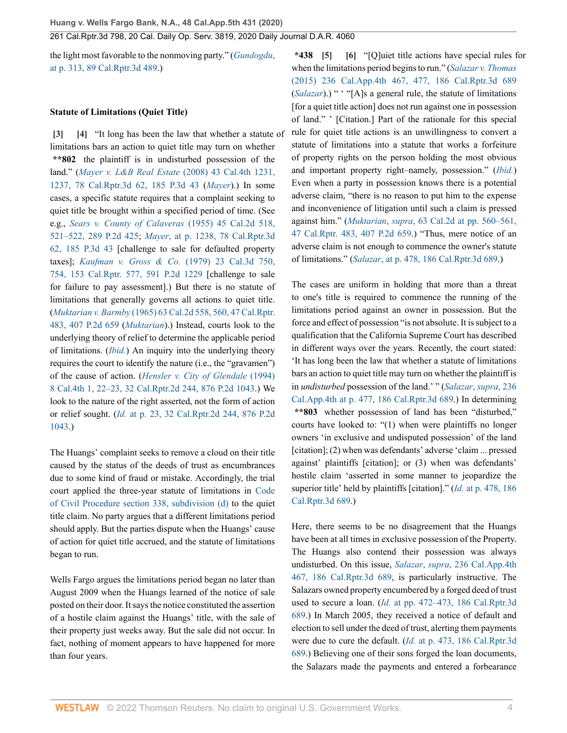the light most favorable to the nonmoving party." (*[Gundogdu](http://www.westlaw.com/Link/Document/FullText?findType=Y&serNum=2018125527&pubNum=0004041&originatingDoc=I329b1c808a7e11eaabeef54b36ec0a79&refType=RP&fi=co_pp_sp_4041_313&originationContext=document&vr=3.0&rs=cblt1.0&transitionType=DocumentItem&contextData=(sc.History*oc.DocLink)#co_pp_sp_4041_313)*, [at p. 313, 89 Cal.Rptr.3d 489.](http://www.westlaw.com/Link/Document/FullText?findType=Y&serNum=2018125527&pubNum=0004041&originatingDoc=I329b1c808a7e11eaabeef54b36ec0a79&refType=RP&fi=co_pp_sp_4041_313&originationContext=document&vr=3.0&rs=cblt1.0&transitionType=DocumentItem&contextData=(sc.History*oc.DocLink)#co_pp_sp_4041_313))

#### **Statute of Limitations (Quiet Title)**

<span id="page-3-1"></span><span id="page-3-0"></span>**[\[3\]](#page-0-2) [\[4](#page-0-3)]** "It long has been the law that whether a statute of limitations bars an action to quiet title may turn on whether **\*\*802** the plaintiff is in undisturbed possession of the land." (*[Mayer v. L&B Real Estate](http://www.westlaw.com/Link/Document/FullText?findType=Y&serNum=2016314529&pubNum=0004040&originatingDoc=I329b1c808a7e11eaabeef54b36ec0a79&refType=RP&fi=co_pp_sp_4040_1237&originationContext=document&vr=3.0&rs=cblt1.0&transitionType=DocumentItem&contextData=(sc.History*oc.DocLink)#co_pp_sp_4040_1237)* (2008) 43 Cal.4th 1231, [1237, 78 Cal.Rptr.3d 62, 185 P.3d 43](http://www.westlaw.com/Link/Document/FullText?findType=Y&serNum=2016314529&pubNum=0004040&originatingDoc=I329b1c808a7e11eaabeef54b36ec0a79&refType=RP&fi=co_pp_sp_4040_1237&originationContext=document&vr=3.0&rs=cblt1.0&transitionType=DocumentItem&contextData=(sc.History*oc.DocLink)#co_pp_sp_4040_1237) (*[Mayer](http://www.westlaw.com/Link/Document/FullText?findType=Y&serNum=2016314529&pubNum=0004040&originatingDoc=I329b1c808a7e11eaabeef54b36ec0a79&refType=RP&originationContext=document&vr=3.0&rs=cblt1.0&transitionType=DocumentItem&contextData=(sc.History*oc.DocLink))*).) In some cases, a specific statute requires that a complaint seeking to quiet title be brought within a specified period of time. (See e.g., *[Sears v. County of Calaveras](http://www.westlaw.com/Link/Document/FullText?findType=Y&serNum=1955113768&pubNum=0000231&originatingDoc=I329b1c808a7e11eaabeef54b36ec0a79&refType=RP&fi=co_pp_sp_231_521&originationContext=document&vr=3.0&rs=cblt1.0&transitionType=DocumentItem&contextData=(sc.History*oc.DocLink)#co_pp_sp_231_521)* (1955) 45 Cal.2d 518, [521–522, 289 P.2d 425;](http://www.westlaw.com/Link/Document/FullText?findType=Y&serNum=1955113768&pubNum=0000231&originatingDoc=I329b1c808a7e11eaabeef54b36ec0a79&refType=RP&fi=co_pp_sp_231_521&originationContext=document&vr=3.0&rs=cblt1.0&transitionType=DocumentItem&contextData=(sc.History*oc.DocLink)#co_pp_sp_231_521) *Mayer*[, at p. 1238, 78 Cal.Rptr.3d](http://www.westlaw.com/Link/Document/FullText?findType=Y&serNum=2016314529&pubNum=0004040&originatingDoc=I329b1c808a7e11eaabeef54b36ec0a79&refType=RP&fi=co_pp_sp_4040_1238&originationContext=document&vr=3.0&rs=cblt1.0&transitionType=DocumentItem&contextData=(sc.History*oc.DocLink)#co_pp_sp_4040_1238) [62, 185 P.3d 43](http://www.westlaw.com/Link/Document/FullText?findType=Y&serNum=2016314529&pubNum=0004040&originatingDoc=I329b1c808a7e11eaabeef54b36ec0a79&refType=RP&fi=co_pp_sp_4040_1238&originationContext=document&vr=3.0&rs=cblt1.0&transitionType=DocumentItem&contextData=(sc.History*oc.DocLink)#co_pp_sp_4040_1238) [challenge to sale for defaulted property taxes]; *[Kaufman v. Gross & Co.](http://www.westlaw.com/Link/Document/FullText?findType=Y&serNum=1979105467&pubNum=0000233&originatingDoc=I329b1c808a7e11eaabeef54b36ec0a79&refType=RP&fi=co_pp_sp_233_754&originationContext=document&vr=3.0&rs=cblt1.0&transitionType=DocumentItem&contextData=(sc.History*oc.DocLink)#co_pp_sp_233_754)* (1979) 23 Cal.3d 750, [754, 153 Cal.Rptr. 577, 591 P.2d 1229](http://www.westlaw.com/Link/Document/FullText?findType=Y&serNum=1979105467&pubNum=0000233&originatingDoc=I329b1c808a7e11eaabeef54b36ec0a79&refType=RP&fi=co_pp_sp_233_754&originationContext=document&vr=3.0&rs=cblt1.0&transitionType=DocumentItem&contextData=(sc.History*oc.DocLink)#co_pp_sp_233_754) [challenge to sale for failure to pay assessment].) But there is no statute of limitations that generally governs all actions to quiet title. (*Muktarian v. Barmby* [\(1965\) 63 Cal.2d 558, 560, 47 Cal.Rptr.](http://www.westlaw.com/Link/Document/FullText?findType=Y&serNum=1965109530&pubNum=0000231&originatingDoc=I329b1c808a7e11eaabeef54b36ec0a79&refType=RP&fi=co_pp_sp_231_560&originationContext=document&vr=3.0&rs=cblt1.0&transitionType=DocumentItem&contextData=(sc.History*oc.DocLink)#co_pp_sp_231_560) [483, 407 P.2d 659](http://www.westlaw.com/Link/Document/FullText?findType=Y&serNum=1965109530&pubNum=0000231&originatingDoc=I329b1c808a7e11eaabeef54b36ec0a79&refType=RP&fi=co_pp_sp_231_560&originationContext=document&vr=3.0&rs=cblt1.0&transitionType=DocumentItem&contextData=(sc.History*oc.DocLink)#co_pp_sp_231_560) (*[Muktarian](http://www.westlaw.com/Link/Document/FullText?findType=Y&serNum=1965109530&pubNum=0000231&originatingDoc=I329b1c808a7e11eaabeef54b36ec0a79&refType=RP&originationContext=document&vr=3.0&rs=cblt1.0&transitionType=DocumentItem&contextData=(sc.History*oc.DocLink))*).) Instead, courts look to the underlying theory of relief to determine the applicable period of limitations. (*[Ibid.](http://www.westlaw.com/Link/Document/FullText?findType=Y&serNum=1965109530&pubNum=0000231&originatingDoc=I329b1c808a7e11eaabeef54b36ec0a79&refType=RP&originationContext=document&vr=3.0&rs=cblt1.0&transitionType=DocumentItem&contextData=(sc.History*oc.DocLink))*) An inquiry into the underlying theory requires the court to identify the nature (i.e., the "gravamen") of the cause of action. (*[Hensler v. City of Glendale](http://www.westlaw.com/Link/Document/FullText?findType=Y&serNum=1994157329&pubNum=0004040&originatingDoc=I329b1c808a7e11eaabeef54b36ec0a79&refType=RP&fi=co_pp_sp_4040_22&originationContext=document&vr=3.0&rs=cblt1.0&transitionType=DocumentItem&contextData=(sc.History*oc.DocLink)#co_pp_sp_4040_22)* (1994) [8 Cal.4th 1, 22–23, 32 Cal.Rptr.2d 244, 876 P.2d 1043](http://www.westlaw.com/Link/Document/FullText?findType=Y&serNum=1994157329&pubNum=0004040&originatingDoc=I329b1c808a7e11eaabeef54b36ec0a79&refType=RP&fi=co_pp_sp_4040_22&originationContext=document&vr=3.0&rs=cblt1.0&transitionType=DocumentItem&contextData=(sc.History*oc.DocLink)#co_pp_sp_4040_22).) We look to the nature of the right asserted, not the form of action or relief sought. (*Id.* [at p. 23, 32 Cal.Rptr.2d 244, 876 P.2d](http://www.westlaw.com/Link/Document/FullText?findType=Y&serNum=1994157329&pubNum=0000661&originatingDoc=I329b1c808a7e11eaabeef54b36ec0a79&refType=RP&originationContext=document&vr=3.0&rs=cblt1.0&transitionType=DocumentItem&contextData=(sc.History*oc.DocLink)) [1043](http://www.westlaw.com/Link/Document/FullText?findType=Y&serNum=1994157329&pubNum=0000661&originatingDoc=I329b1c808a7e11eaabeef54b36ec0a79&refType=RP&originationContext=document&vr=3.0&rs=cblt1.0&transitionType=DocumentItem&contextData=(sc.History*oc.DocLink)).)

The Huangs' complaint seeks to remove a cloud on their title caused by the status of the deeds of trust as encumbrances due to some kind of fraud or mistake. Accordingly, the trial court applied the three-year statute of limitations in [Code](http://www.westlaw.com/Link/Document/FullText?findType=L&pubNum=1000201&cite=CACPS338&originatingDoc=I329b1c808a7e11eaabeef54b36ec0a79&refType=SP&originationContext=document&vr=3.0&rs=cblt1.0&transitionType=DocumentItem&contextData=(sc.History*oc.DocLink)#co_pp_5ba1000067d06) [of Civil Procedure section 338, subdivision \(d\)](http://www.westlaw.com/Link/Document/FullText?findType=L&pubNum=1000201&cite=CACPS338&originatingDoc=I329b1c808a7e11eaabeef54b36ec0a79&refType=SP&originationContext=document&vr=3.0&rs=cblt1.0&transitionType=DocumentItem&contextData=(sc.History*oc.DocLink)#co_pp_5ba1000067d06) to the quiet title claim. No party argues that a different limitations period should apply. But the parties dispute when the Huangs' cause of action for quiet title accrued, and the statute of limitations began to run.

Wells Fargo argues the limitations period began no later than August 2009 when the Huangs learned of the notice of sale posted on their door. It says the notice constituted the assertion of a hostile claim against the Huangs' title, with the sale of their property just weeks away. But the sale did not occur. In fact, nothing of moment appears to have happened for more than four years.

<span id="page-3-3"></span><span id="page-3-2"></span>**\*438 [\[5\]](#page-0-4) [\[6\]](#page-0-5)** "[Q]uiet title actions have special rules for when the limitations period begins to run." (*[Salazar v. Thomas](http://www.westlaw.com/Link/Document/FullText?findType=Y&serNum=2036188995&pubNum=0004041&originatingDoc=I329b1c808a7e11eaabeef54b36ec0a79&refType=RP&fi=co_pp_sp_4041_477&originationContext=document&vr=3.0&rs=cblt1.0&transitionType=DocumentItem&contextData=(sc.History*oc.DocLink)#co_pp_sp_4041_477)* [\(2015\) 236 Cal.App.4th 467, 477, 186 Cal.Rptr.3d 689](http://www.westlaw.com/Link/Document/FullText?findType=Y&serNum=2036188995&pubNum=0004041&originatingDoc=I329b1c808a7e11eaabeef54b36ec0a79&refType=RP&fi=co_pp_sp_4041_477&originationContext=document&vr=3.0&rs=cblt1.0&transitionType=DocumentItem&contextData=(sc.History*oc.DocLink)#co_pp_sp_4041_477) (*[Salazar](http://www.westlaw.com/Link/Document/FullText?findType=Y&serNum=2036188995&pubNum=0004041&originatingDoc=I329b1c808a7e11eaabeef54b36ec0a79&refType=RP&originationContext=document&vr=3.0&rs=cblt1.0&transitionType=DocumentItem&contextData=(sc.History*oc.DocLink))*).) " "[A]s a general rule, the statute of limitations [for a quiet title action] does not run against one in possession of land." ' [Citation.] Part of the rationale for this special rule for quiet title actions is an unwillingness to convert a statute of limitations into a statute that works a forfeiture of property rights on the person holding the most obvious and important property right–namely, possession." (*[Ibid.](http://www.westlaw.com/Link/Document/FullText?findType=Y&serNum=2036188995&pubNum=0004041&originatingDoc=I329b1c808a7e11eaabeef54b36ec0a79&refType=RP&originationContext=document&vr=3.0&rs=cblt1.0&transitionType=DocumentItem&contextData=(sc.History*oc.DocLink))*) Even when a party in possession knows there is a potential adverse claim, "there is no reason to put him to the expense and inconvenience of litigation until such a claim is pressed against him." (*Muktarian*, *supra*[, 63 Cal.2d at pp. 560–561,](http://www.westlaw.com/Link/Document/FullText?findType=Y&serNum=1965109530&pubNum=0000231&originatingDoc=I329b1c808a7e11eaabeef54b36ec0a79&refType=RP&fi=co_pp_sp_231_560&originationContext=document&vr=3.0&rs=cblt1.0&transitionType=DocumentItem&contextData=(sc.History*oc.DocLink)#co_pp_sp_231_560) [47 Cal.Rptr. 483, 407 P.2d 659](http://www.westlaw.com/Link/Document/FullText?findType=Y&serNum=1965109530&pubNum=0000231&originatingDoc=I329b1c808a7e11eaabeef54b36ec0a79&refType=RP&fi=co_pp_sp_231_560&originationContext=document&vr=3.0&rs=cblt1.0&transitionType=DocumentItem&contextData=(sc.History*oc.DocLink)#co_pp_sp_231_560).) "Thus, mere notice of an adverse claim is not enough to commence the owner's statute of limitations." (*Salazar*[, at p. 478, 186 Cal.Rptr.3d 689.](http://www.westlaw.com/Link/Document/FullText?findType=Y&serNum=2036188995&pubNum=0004041&originatingDoc=I329b1c808a7e11eaabeef54b36ec0a79&refType=RP&fi=co_pp_sp_4041_478&originationContext=document&vr=3.0&rs=cblt1.0&transitionType=DocumentItem&contextData=(sc.History*oc.DocLink)#co_pp_sp_4041_478))

The cases are uniform in holding that more than a threat to one's title is required to commence the running of the limitations period against an owner in possession. But the force and effect of possession "is not absolute. It is subject to a qualification that the California Supreme Court has described in different ways over the years. Recently, the court stated: 'It has long been the law that whether a statute of limitations bars an action to quiet title may turn on whether the plaintiff is in *undisturbed* possession of the land.' " (*[Salazar](http://www.westlaw.com/Link/Document/FullText?findType=Y&serNum=2036188995&pubNum=0004041&originatingDoc=I329b1c808a7e11eaabeef54b36ec0a79&refType=RP&fi=co_pp_sp_4041_477&originationContext=document&vr=3.0&rs=cblt1.0&transitionType=DocumentItem&contextData=(sc.History*oc.DocLink)#co_pp_sp_4041_477)*, *supra*, 236 [Cal.App.4th at p. 477, 186 Cal.Rptr.3d 689.](http://www.westlaw.com/Link/Document/FullText?findType=Y&serNum=2036188995&pubNum=0004041&originatingDoc=I329b1c808a7e11eaabeef54b36ec0a79&refType=RP&fi=co_pp_sp_4041_477&originationContext=document&vr=3.0&rs=cblt1.0&transitionType=DocumentItem&contextData=(sc.History*oc.DocLink)#co_pp_sp_4041_477)) In determining **\*\*803** whether possession of land has been "disturbed," courts have looked to: "(1) when were plaintiffs no longer owners 'in exclusive and undisputed possession' of the land [citation]; (2) when was defendants' adverse 'claim ... pressed against' plaintiffs [citation]; or (3) when was defendants' hostile claim 'asserted in some manner to jeopardize the superior title' held by plaintiffs [citation]." (*Id.* [at p. 478, 186](http://www.westlaw.com/Link/Document/FullText?findType=Y&serNum=2036188995&pubNum=0007047&originatingDoc=I329b1c808a7e11eaabeef54b36ec0a79&refType=RP&originationContext=document&vr=3.0&rs=cblt1.0&transitionType=DocumentItem&contextData=(sc.History*oc.DocLink)) [Cal.Rptr.3d 689.](http://www.westlaw.com/Link/Document/FullText?findType=Y&serNum=2036188995&pubNum=0007047&originatingDoc=I329b1c808a7e11eaabeef54b36ec0a79&refType=RP&originationContext=document&vr=3.0&rs=cblt1.0&transitionType=DocumentItem&contextData=(sc.History*oc.DocLink)))

Here, there seems to be no disagreement that the Huangs have been at all times in exclusive possession of the Property. The Huangs also contend their possession was always undisturbed. On this issue, *Salazar*, *supra*[, 236 Cal.App.4th](http://www.westlaw.com/Link/Document/FullText?findType=Y&serNum=2036188995&pubNum=0007047&originatingDoc=I329b1c808a7e11eaabeef54b36ec0a79&refType=RP&originationContext=document&vr=3.0&rs=cblt1.0&transitionType=DocumentItem&contextData=(sc.History*oc.DocLink)) [467, 186 Cal.Rptr.3d 689](http://www.westlaw.com/Link/Document/FullText?findType=Y&serNum=2036188995&pubNum=0007047&originatingDoc=I329b1c808a7e11eaabeef54b36ec0a79&refType=RP&originationContext=document&vr=3.0&rs=cblt1.0&transitionType=DocumentItem&contextData=(sc.History*oc.DocLink)), is particularly instructive. The Salazars owned property encumbered by a forged deed of trust used to secure a loan. (*Id.* [at pp. 472–473, 186 Cal.Rptr.3d](http://www.westlaw.com/Link/Document/FullText?findType=Y&serNum=2036188995&pubNum=0007047&originatingDoc=I329b1c808a7e11eaabeef54b36ec0a79&refType=RP&originationContext=document&vr=3.0&rs=cblt1.0&transitionType=DocumentItem&contextData=(sc.History*oc.DocLink)) [689](http://www.westlaw.com/Link/Document/FullText?findType=Y&serNum=2036188995&pubNum=0007047&originatingDoc=I329b1c808a7e11eaabeef54b36ec0a79&refType=RP&originationContext=document&vr=3.0&rs=cblt1.0&transitionType=DocumentItem&contextData=(sc.History*oc.DocLink)).) In March 2005, they received a notice of default and election to sell under the deed of trust, alerting them payments were due to cure the default. (*Id.* [at p. 473, 186 Cal.Rptr.3d](http://www.westlaw.com/Link/Document/FullText?findType=Y&serNum=2036188995&pubNum=0007047&originatingDoc=I329b1c808a7e11eaabeef54b36ec0a79&refType=RP&originationContext=document&vr=3.0&rs=cblt1.0&transitionType=DocumentItem&contextData=(sc.History*oc.DocLink)) [689](http://www.westlaw.com/Link/Document/FullText?findType=Y&serNum=2036188995&pubNum=0007047&originatingDoc=I329b1c808a7e11eaabeef54b36ec0a79&refType=RP&originationContext=document&vr=3.0&rs=cblt1.0&transitionType=DocumentItem&contextData=(sc.History*oc.DocLink)).) Believing one of their sons forged the loan documents, the Salazars made the payments and entered a forbearance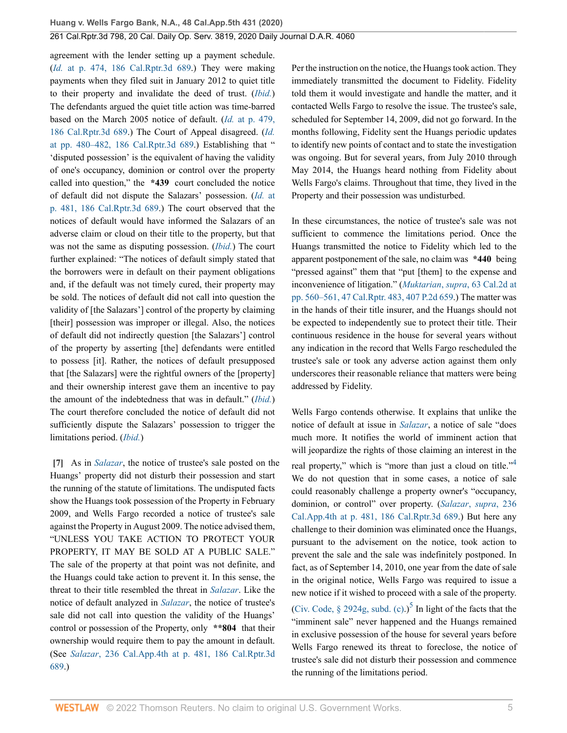agreement with the lender setting up a payment schedule. (*Id.* [at p. 474, 186 Cal.Rptr.3d 689](http://www.westlaw.com/Link/Document/FullText?findType=Y&serNum=2036188995&pubNum=0007047&originatingDoc=I329b1c808a7e11eaabeef54b36ec0a79&refType=RP&originationContext=document&vr=3.0&rs=cblt1.0&transitionType=DocumentItem&contextData=(sc.History*oc.DocLink)).) They were making payments when they filed suit in January 2012 to quiet title to their property and invalidate the deed of trust. (*[Ibid.](http://www.westlaw.com/Link/Document/FullText?findType=Y&serNum=2036188995&pubNum=0004041&originatingDoc=I329b1c808a7e11eaabeef54b36ec0a79&refType=RP&originationContext=document&vr=3.0&rs=cblt1.0&transitionType=DocumentItem&contextData=(sc.History*oc.DocLink))*) The defendants argued the quiet title action was time-barred based on the March 2005 notice of default. (*Id.* [at p. 479,](http://www.westlaw.com/Link/Document/FullText?findType=Y&serNum=2036188995&pubNum=0007047&originatingDoc=I329b1c808a7e11eaabeef54b36ec0a79&refType=RP&originationContext=document&vr=3.0&rs=cblt1.0&transitionType=DocumentItem&contextData=(sc.History*oc.DocLink)) [186 Cal.Rptr.3d 689.](http://www.westlaw.com/Link/Document/FullText?findType=Y&serNum=2036188995&pubNum=0007047&originatingDoc=I329b1c808a7e11eaabeef54b36ec0a79&refType=RP&originationContext=document&vr=3.0&rs=cblt1.0&transitionType=DocumentItem&contextData=(sc.History*oc.DocLink))) The Court of Appeal disagreed. (*[Id.](http://www.westlaw.com/Link/Document/FullText?findType=Y&serNum=2036188995&pubNum=0007047&originatingDoc=I329b1c808a7e11eaabeef54b36ec0a79&refType=RP&originationContext=document&vr=3.0&rs=cblt1.0&transitionType=DocumentItem&contextData=(sc.History*oc.DocLink))* [at pp. 480–482, 186 Cal.Rptr.3d 689](http://www.westlaw.com/Link/Document/FullText?findType=Y&serNum=2036188995&pubNum=0007047&originatingDoc=I329b1c808a7e11eaabeef54b36ec0a79&refType=RP&originationContext=document&vr=3.0&rs=cblt1.0&transitionType=DocumentItem&contextData=(sc.History*oc.DocLink)).) Establishing that " 'disputed possession' is the equivalent of having the validity of one's occupancy, dominion or control over the property called into question," the **\*439** court concluded the notice of default did not dispute the Salazars' possession. (*Id.* [at](http://www.westlaw.com/Link/Document/FullText?findType=Y&serNum=2036188995&pubNum=0007047&originatingDoc=I329b1c808a7e11eaabeef54b36ec0a79&refType=RP&originationContext=document&vr=3.0&rs=cblt1.0&transitionType=DocumentItem&contextData=(sc.History*oc.DocLink)) [p. 481, 186 Cal.Rptr.3d 689](http://www.westlaw.com/Link/Document/FullText?findType=Y&serNum=2036188995&pubNum=0007047&originatingDoc=I329b1c808a7e11eaabeef54b36ec0a79&refType=RP&originationContext=document&vr=3.0&rs=cblt1.0&transitionType=DocumentItem&contextData=(sc.History*oc.DocLink)).) The court observed that the notices of default would have informed the Salazars of an adverse claim or cloud on their title to the property, but that was not the same as disputing possession. (*[Ibid.](http://www.westlaw.com/Link/Document/FullText?findType=Y&serNum=2036188995&pubNum=0004041&originatingDoc=I329b1c808a7e11eaabeef54b36ec0a79&refType=RP&originationContext=document&vr=3.0&rs=cblt1.0&transitionType=DocumentItem&contextData=(sc.History*oc.DocLink))*) The court further explained: "The notices of default simply stated that the borrowers were in default on their payment obligations and, if the default was not timely cured, their property may be sold. The notices of default did not call into question the validity of [the Salazars'] control of the property by claiming [their] possession was improper or illegal. Also, the notices of default did not indirectly question [the Salazars'] control of the property by asserting [the] defendants were entitled to possess [it]. Rather, the notices of default presupposed that [the Salazars] were the rightful owners of the [property] and their ownership interest gave them an incentive to pay the amount of the indebtedness that was in default." (*[Ibid.](http://www.westlaw.com/Link/Document/FullText?findType=Y&serNum=2036188995&pubNum=0004041&originatingDoc=I329b1c808a7e11eaabeef54b36ec0a79&refType=RP&originationContext=document&vr=3.0&rs=cblt1.0&transitionType=DocumentItem&contextData=(sc.History*oc.DocLink))*) The court therefore concluded the notice of default did not sufficiently dispute the Salazars' possession to trigger the limitations period. (*[Ibid.](http://www.westlaw.com/Link/Document/FullText?findType=Y&serNum=2036188995&pubNum=0004041&originatingDoc=I329b1c808a7e11eaabeef54b36ec0a79&refType=RP&originationContext=document&vr=3.0&rs=cblt1.0&transitionType=DocumentItem&contextData=(sc.History*oc.DocLink))*)

<span id="page-4-0"></span>**[\[7\]](#page-1-0)** As in *[Salazar](http://www.westlaw.com/Link/Document/FullText?findType=Y&serNum=2036188995&pubNum=0004041&originatingDoc=I329b1c808a7e11eaabeef54b36ec0a79&refType=RP&originationContext=document&vr=3.0&rs=cblt1.0&transitionType=DocumentItem&contextData=(sc.History*oc.DocLink))*, the notice of trustee's sale posted on the Huangs' property did not disturb their possession and start the running of the statute of limitations. The undisputed facts show the Huangs took possession of the Property in February 2009, and Wells Fargo recorded a notice of trustee's sale against the Property in August 2009. The notice advised them, "UNLESS YOU TAKE ACTION TO PROTECT YOUR PROPERTY, IT MAY BE SOLD AT A PUBLIC SALE." The sale of the property at that point was not definite, and the Huangs could take action to prevent it. In this sense, the threat to their title resembled the threat in *[Salazar](http://www.westlaw.com/Link/Document/FullText?findType=Y&serNum=2036188995&pubNum=0004041&originatingDoc=I329b1c808a7e11eaabeef54b36ec0a79&refType=RP&originationContext=document&vr=3.0&rs=cblt1.0&transitionType=DocumentItem&contextData=(sc.History*oc.DocLink))*. Like the notice of default analyzed in *[Salazar](http://www.westlaw.com/Link/Document/FullText?findType=Y&serNum=2036188995&pubNum=0004041&originatingDoc=I329b1c808a7e11eaabeef54b36ec0a79&refType=RP&originationContext=document&vr=3.0&rs=cblt1.0&transitionType=DocumentItem&contextData=(sc.History*oc.DocLink))*, the notice of trustee's sale did not call into question the validity of the Huangs' control or possession of the Property, only **\*\*804** that their ownership would require them to pay the amount in default. (See *Salazar*[, 236 Cal.App.4th at p. 481, 186 Cal.Rptr.3d](http://www.westlaw.com/Link/Document/FullText?findType=Y&serNum=2036188995&pubNum=0004041&originatingDoc=I329b1c808a7e11eaabeef54b36ec0a79&refType=RP&fi=co_pp_sp_4041_481&originationContext=document&vr=3.0&rs=cblt1.0&transitionType=DocumentItem&contextData=(sc.History*oc.DocLink)#co_pp_sp_4041_481) [689](http://www.westlaw.com/Link/Document/FullText?findType=Y&serNum=2036188995&pubNum=0004041&originatingDoc=I329b1c808a7e11eaabeef54b36ec0a79&refType=RP&fi=co_pp_sp_4041_481&originationContext=document&vr=3.0&rs=cblt1.0&transitionType=DocumentItem&contextData=(sc.History*oc.DocLink)#co_pp_sp_4041_481).)

Per the instruction on the notice, the Huangs took action. They immediately transmitted the document to Fidelity. Fidelity told them it would investigate and handle the matter, and it contacted Wells Fargo to resolve the issue. The trustee's sale, scheduled for September 14, 2009, did not go forward. In the months following, Fidelity sent the Huangs periodic updates to identify new points of contact and to state the investigation was ongoing. But for several years, from July 2010 through May 2014, the Huangs heard nothing from Fidelity about Wells Fargo's claims. Throughout that time, they lived in the Property and their possession was undisturbed.

In these circumstances, the notice of trustee's sale was not sufficient to commence the limitations period. Once the Huangs transmitted the notice to Fidelity which led to the apparent postponement of the sale, no claim was **\*440** being "pressed against" them that "put [them] to the expense and inconvenience of litigation." (*Muktarian*, *supra*[, 63 Cal.2d at](http://www.westlaw.com/Link/Document/FullText?findType=Y&serNum=1965109530&pubNum=0000231&originatingDoc=I329b1c808a7e11eaabeef54b36ec0a79&refType=RP&fi=co_pp_sp_231_560&originationContext=document&vr=3.0&rs=cblt1.0&transitionType=DocumentItem&contextData=(sc.History*oc.DocLink)#co_pp_sp_231_560) [pp. 560–561, 47 Cal.Rptr. 483, 407 P.2d 659.](http://www.westlaw.com/Link/Document/FullText?findType=Y&serNum=1965109530&pubNum=0000231&originatingDoc=I329b1c808a7e11eaabeef54b36ec0a79&refType=RP&fi=co_pp_sp_231_560&originationContext=document&vr=3.0&rs=cblt1.0&transitionType=DocumentItem&contextData=(sc.History*oc.DocLink)#co_pp_sp_231_560)) The matter was in the hands of their title insurer, and the Huangs should not be expected to independently sue to protect their title. Their continuous residence in the house for several years without any indication in the record that Wells Fargo rescheduled the trustee's sale or took any adverse action against them only underscores their reasonable reliance that matters were being addressed by Fidelity.

<span id="page-4-2"></span><span id="page-4-1"></span>Wells Fargo contends otherwise. It explains that unlike the notice of default at issue in *[Salazar](http://www.westlaw.com/Link/Document/FullText?findType=Y&serNum=2036188995&pubNum=0004041&originatingDoc=I329b1c808a7e11eaabeef54b36ec0a79&refType=RP&originationContext=document&vr=3.0&rs=cblt1.0&transitionType=DocumentItem&contextData=(sc.History*oc.DocLink))*, a notice of sale "does much more. It notifies the world of imminent action that will jeopardize the rights of those claiming an interest in the real property," which is "more than just a cloud on title."<sup>[4](#page-5-4)</sup> We do not question that in some cases, a notice of sale could reasonably challenge a property owner's "occupancy, dominion, or control" over property. (*[Salazar](http://www.westlaw.com/Link/Document/FullText?findType=Y&serNum=2036188995&pubNum=0004041&originatingDoc=I329b1c808a7e11eaabeef54b36ec0a79&refType=RP&fi=co_pp_sp_4041_481&originationContext=document&vr=3.0&rs=cblt1.0&transitionType=DocumentItem&contextData=(sc.History*oc.DocLink)#co_pp_sp_4041_481)*, *supra*, 236 [Cal.App.4th at p. 481, 186 Cal.Rptr.3d 689.](http://www.westlaw.com/Link/Document/FullText?findType=Y&serNum=2036188995&pubNum=0004041&originatingDoc=I329b1c808a7e11eaabeef54b36ec0a79&refType=RP&fi=co_pp_sp_4041_481&originationContext=document&vr=3.0&rs=cblt1.0&transitionType=DocumentItem&contextData=(sc.History*oc.DocLink)#co_pp_sp_4041_481)) But here any challenge to their dominion was eliminated once the Huangs, pursuant to the advisement on the notice, took action to prevent the sale and the sale was indefinitely postponed. In fact, as of September 14, 2010, one year from the date of sale in the original notice, Wells Fargo was required to issue a new notice if it wished to proceed with a sale of the property. (Civ. Code,  $\S$  2924g, subd. (c).)<sup>[5](#page-5-5)</sup> In light of the facts that the "imminent sale" never happened and the Huangs remained in exclusive possession of the house for several years before Wells Fargo renewed its threat to foreclose, the notice of trustee's sale did not disturb their possession and commence the running of the limitations period.